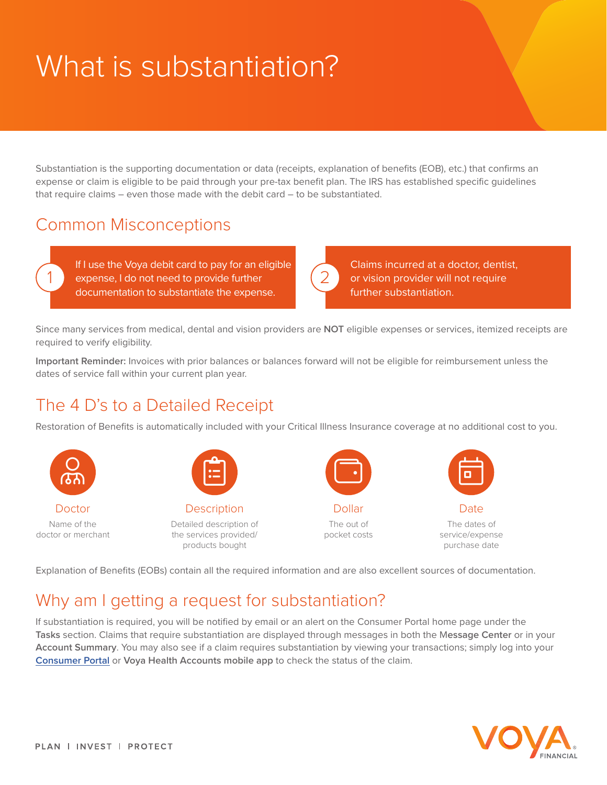# What is substantiation?

Substantiation is the supporting documentation or data (receipts, explanation of benefits (EOB), etc.) that confirms an expense or claim is eligible to be paid through your pre-tax benefit plan. The IRS has established specific guidelines that require claims – even those made with the debit card – to be substantiated.

#### Common Misconceptions

If I use the Voya debit card to pay for an eligible 1 expense, I do not need to provide further (2 documentation to substantiate the expense.

Claims incurred at a doctor, dentist, or vision provider will not require further substantiation.

Since many services from medical, dental and vision providers are **NOT** eligible expenses or services, itemized receipts are required to verify eligibility.

**Important Reminder:** Invoices with prior balances or balances forward will not be eligible for reimbursement unless the dates of service fall within your current plan year.

## The 4 D's to a Detailed Receipt

Restoration of Benefits is automatically included with your Critical Illness Insurance coverage at no additional cost to you.



Explanation of Benefits (EOBs) contain all the required information and are also excellent sources of documentation.

## Why am I getting a request for substantiation?

If substantiation is required, you will be notified by email or an alert on the Consumer Portal home page under the **Tasks** section. Claims that require substantiation are displayed through messages in both the M**essage Center** or in your **Account Summary**. You may also see if a claim requires substantiation by viewing your transactions; simply log into your **[Consumer Portal](https://myhealthaccounts.voya.com/Login)** or **Voya Health Accounts mobile app** to check the status of the claim.